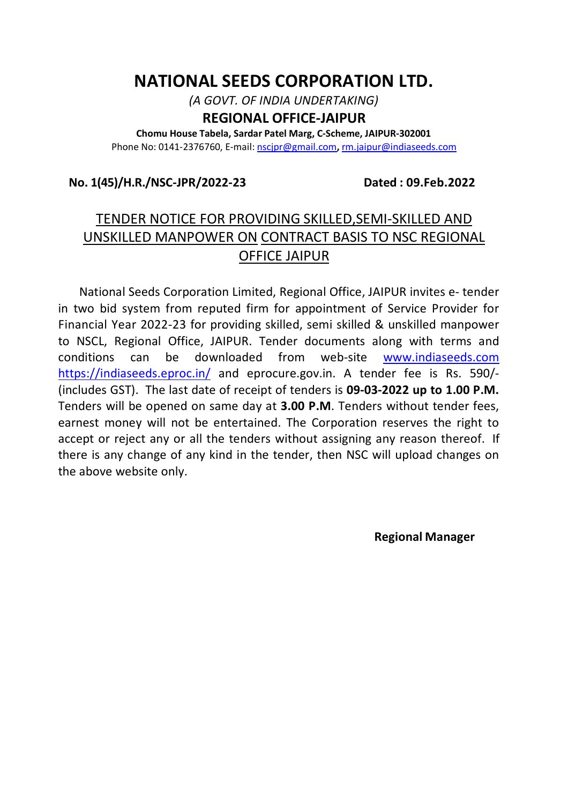# **NATIONAL SEEDS CORPORATION LTD.**

*(A GOVT. OF INDIA UNDERTAKING)*

# **REGIONAL OFFICE-JAIPUR**

**Chomu House Tabela, Sardar Patel Marg, C-Scheme, JAIPUR-302001** Phone No: 0141-2376760, E-mail: nscjpr@gmail.com**,** rm.jaipur@indiaseeds.com

# **No. 1(45)/H.R./NSC-JPR/2022-23 Dated : 09.Feb.2022**

# TENDER NOTICE FOR PROVIDING SKILLED,SEMI-SKILLED AND UNSKILLED MANPOWER ON CONTRACT BASIS TO NSC REGIONAL OFFICE JAIPUR

 National Seeds Corporation Limited, Regional Office, JAIPUR invites e- tender in two bid system from reputed firm for appointment of Service Provider for Financial Year 2022-23 for providing skilled, semi skilled & unskilled manpower to NSCL, Regional Office, JAIPUR. Tender documents along with terms and conditions can be downloaded from web-site www.indiaseeds.com https://indiaseeds.eproc.in/ and eprocure.gov.in. A tender fee is Rs. 590/- (includes GST). The last date of receipt of tenders is **09-03-2022 up to 1.00 P.M.**  Tenders will be opened on same day at **3.00 P.M**. Tenders without tender fees, earnest money will not be entertained. The Corporation reserves the right to accept or reject any or all the tenders without assigning any reason thereof. If there is any change of any kind in the tender, then NSC will upload changes on the above website only.

 **Regional Manager**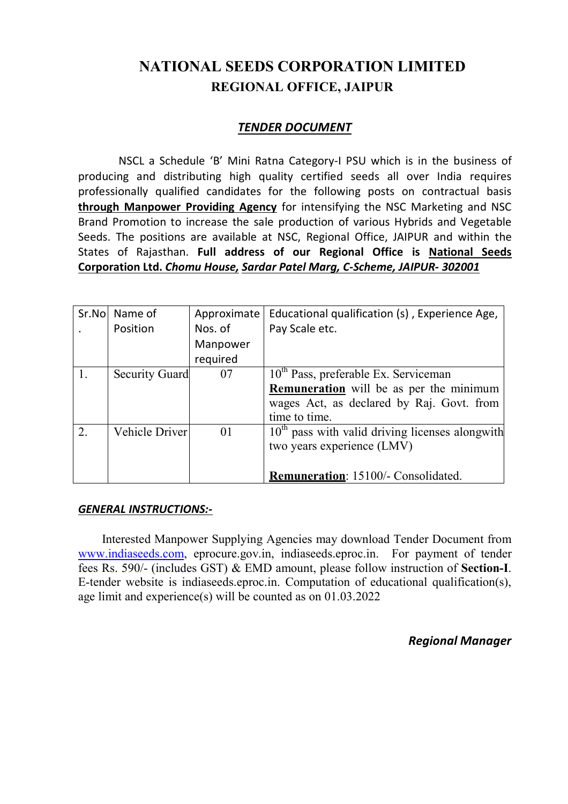# **NATIONAL SEEDS CORPORATION LIMITED REGIONAL OFFICE, JAIPUR**

# *TENDER DOCUMENT*

NSCL a Schedule 'B' Mini Ratna Category-I PSU which is in the business of producing and distributing high quality certified seeds all over India requires professionally qualified candidates for the following posts on contractual basis **through Manpower Providing Agency** for intensifying the NSC Marketing and NSC Brand Promotion to increase the sale production of various Hybrids and Vegetable Seeds. The positions are available at NSC, Regional Office, JAIPUR and within the States of Rajasthan. **Full address of our Regional Office is National Seeds Corporation Ltd.** *Chomu House, Sardar Patel Marg, C-Scheme, JAIPUR- 302001*

|    | Sr.No Name of  | Approximate | Educational qualification (s), Experience Age,    |
|----|----------------|-------------|---------------------------------------------------|
|    | Position       | Nos. of     | Pay Scale etc.                                    |
|    |                | Manpower    |                                                   |
|    |                | required    |                                                   |
| 1. | Security Guard | 07          | $10th$ Pass, preferable Ex. Serviceman            |
|    |                |             | <b>Remuneration</b> will be as per the minimum    |
|    |                |             | wages Act, as declared by Raj. Govt. from         |
|    |                |             | time to time.                                     |
| 2. | Vehicle Driver | 01          | $10th$ pass with valid driving licenses alongwith |
|    |                |             | two years experience (LMV)                        |
|    |                |             |                                                   |
|    |                |             | Remuneration: 15100/- Consolidated.               |

# *GENERAL INSTRUCTIONS:-*

Interested Manpower Supplying Agencies may download Tender Document from www.indiaseeds.com, eprocure.gov.in, indiaseeds.eproc.in. For payment of tender fees Rs. 590/- (includes GST) & EMD amount, please follow instruction of **Section-I**. E-tender website is indiaseeds.eproc.in. Computation of educational qualification(s), age limit and experience(s) will be counted as on 01.03.2022

*Regional Manager*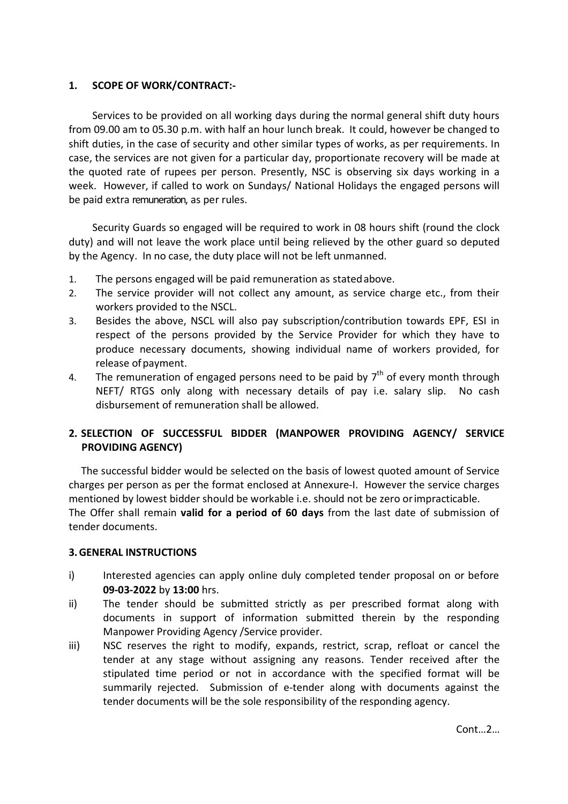## **1. SCOPE OF WORK/CONTRACT:-**

Services to be provided on all working days during the normal general shift duty hours from 09.00 am to 05.30 p.m. with half an hour lunch break. It could, however be changed to shift duties, in the case of security and other similar types of works, as per requirements. In case, the services are not given for a particular day, proportionate recovery will be made at the quoted rate of rupees per person. Presently, NSC is observing six days working in a week. However, if called to work on Sundays/ National Holidays the engaged persons will be paid extra remuneration, as per rules.

Security Guards so engaged will be required to work in 08 hours shift (round the clock duty) and will not leave the work place until being relieved by the other guard so deputed by the Agency. In no case, the duty place will not be left unmanned.

- 1. The persons engaged will be paid remuneration as statedabove.
- 2. The service provider will not collect any amount, as service charge etc., from their workers provided to the NSCL.
- 3. Besides the above, NSCL will also pay subscription/contribution towards EPF, ESI in respect of the persons provided by the Service Provider for which they have to produce necessary documents, showing individual name of workers provided, for release of payment.
- 4. The remuneration of engaged persons need to be paid by  $7<sup>th</sup>$  of every month through NEFT/ RTGS only along with necessary details of pay i.e. salary slip. No cash disbursement of remuneration shall be allowed.

# **2. SELECTION OF SUCCESSFUL BIDDER (MANPOWER PROVIDING AGENCY/ SERVICE PROVIDING AGENCY)**

The successful bidder would be selected on the basis of lowest quoted amount of Service charges per person as per the format enclosed at Annexure-I. However the service charges mentioned by lowest bidder should be workable i.e. should not be zero orimpracticable. The Offer shall remain **valid for a period of 60 days** from the last date of submission of tender documents.

## **3.GENERAL INSTRUCTIONS**

- i) Interested agencies can apply online duly completed tender proposal on or before **09-03-2022** by **13:00** hrs.
- ii) The tender should be submitted strictly as per prescribed format along with documents in support of information submitted therein by the responding Manpower Providing Agency /Service provider.
- iii) NSC reserves the right to modify, expands, restrict, scrap, refloat or cancel the tender at any stage without assigning any reasons. Tender received after the stipulated time period or not in accordance with the specified format will be summarily rejected. Submission of e-tender along with documents against the tender documents will be the sole responsibility of the responding agency.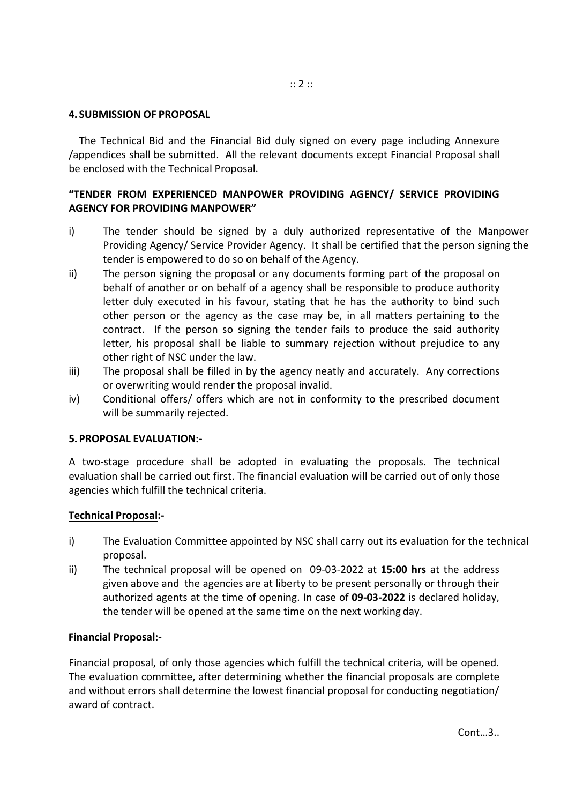#### **4. SUBMISSION OF PROPOSAL**

The Technical Bid and the Financial Bid duly signed on every page including Annexure /appendices shall be submitted. All the relevant documents except Financial Proposal shall be enclosed with the Technical Proposal.

## **"TENDER FROM EXPERIENCED MANPOWER PROVIDING AGENCY/ SERVICE PROVIDING AGENCY FOR PROVIDING MANPOWER"**

- i) The tender should be signed by a duly authorized representative of the Manpower Providing Agency/ Service Provider Agency. It shall be certified that the person signing the tender is empowered to do so on behalf of the Agency.
- ii) The person signing the proposal or any documents forming part of the proposal on behalf of another or on behalf of a agency shall be responsible to produce authority letter duly executed in his favour, stating that he has the authority to bind such other person or the agency as the case may be, in all matters pertaining to the contract. If the person so signing the tender fails to produce the said authority letter, his proposal shall be liable to summary rejection without prejudice to any other right of NSC under the law.
- iii) The proposal shall be filled in by the agency neatly and accurately. Any corrections or overwriting would render the proposal invalid.
- iv) Conditional offers/ offers which are not in conformity to the prescribed document will be summarily rejected.

#### **5. PROPOSAL EVALUATION:-**

A two-stage procedure shall be adopted in evaluating the proposals. The technical evaluation shall be carried out first. The financial evaluation will be carried out of only those agencies which fulfill the technical criteria.

#### **Technical Proposal:-**

- i) The Evaluation Committee appointed by NSC shall carry out its evaluation for the technical proposal.
- ii) The technical proposal will be opened on 09-03-2022 at **15:00 hrs** at the address given above and the agencies are at liberty to be present personally or through their authorized agents at the time of opening. In case of **09-03-2022** is declared holiday, the tender will be opened at the same time on the next working day.

## **Financial Proposal:-**

Financial proposal, of only those agencies which fulfill the technical criteria, will be opened. The evaluation committee, after determining whether the financial proposals are complete and without errors shall determine the lowest financial proposal for conducting negotiation/ award of contract.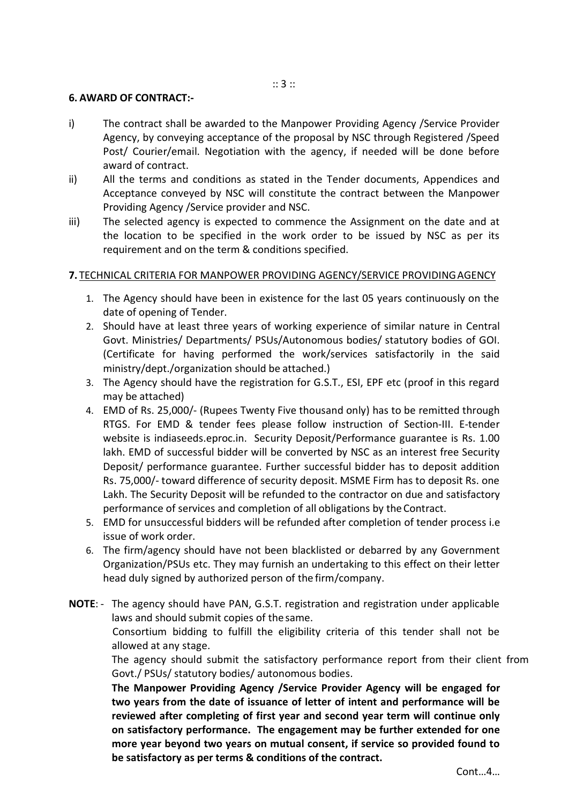:: 3 ::

#### **6. AWARD OF CONTRACT:-**

- i) The contract shall be awarded to the Manpower Providing Agency /Service Provider Agency, by conveying acceptance of the proposal by NSC through Registered /Speed Post/ Courier/email. Negotiation with the agency, if needed will be done before award of contract.
- ii) All the terms and conditions as stated in the Tender documents, Appendices and Acceptance conveyed by NSC will constitute the contract between the Manpower Providing Agency /Service provider and NSC.
- iii) The selected agency is expected to commence the Assignment on the date and at the location to be specified in the work order to be issued by NSC as per its requirement and on the term & conditions specified.

## **7.** TECHNICAL CRITERIA FOR MANPOWER PROVIDING AGENCY/SERVICE PROVIDINGAGENCY

- 1. The Agency should have been in existence for the last 05 years continuously on the date of opening of Tender.
- 2. Should have at least three years of working experience of similar nature in Central Govt. Ministries/ Departments/ PSUs/Autonomous bodies/ statutory bodies of GOI. (Certificate for having performed the work/services satisfactorily in the said ministry/dept./organization should be attached.)
- 3. The Agency should have the registration for G.S.T., ESI, EPF etc (proof in this regard may be attached)
- 4. EMD of Rs. 25,000/- (Rupees Twenty Five thousand only) has to be remitted through RTGS. For EMD & tender fees please follow instruction of Section-III. E-tender website is indiaseeds.eproc.in. Security Deposit/Performance guarantee is Rs. 1.00 lakh. EMD of successful bidder will be converted by NSC as an interest free Security Deposit/ performance guarantee. Further successful bidder has to deposit addition Rs. 75,000/- toward difference of security deposit. MSME Firm has to deposit Rs. one Lakh. The Security Deposit will be refunded to the contractor on due and satisfactory performance of services and completion of all obligations by the Contract.
- 5. EMD for unsuccessful bidders will be refunded after completion of tender process i.e issue of work order.
- 6. The firm/agency should have not been blacklisted or debarred by any Government Organization/PSUs etc. They may furnish an undertaking to this effect on their letter head duly signed by authorized person of the firm/company.
- **NOTE**: The agency should have PAN, G.S.T. registration and registration under applicable laws and should submit copies of thesame. Consortium bidding to fulfill the eligibility criteria of this tender shall not be allowed at any stage. The agency should submit the satisfactory performance report from their client from

Govt./ PSUs/ statutory bodies/ autonomous bodies. **The Manpower Providing Agency /Service Provider Agency will be engaged for two years from the date of issuance of letter of intent and performance will be reviewed after completing of first year and second year term will continue only on satisfactory performance. The engagement may be further extended for one more year beyond two years on mutual consent, if service so provided found to be satisfactory as per terms & conditions of the contract.**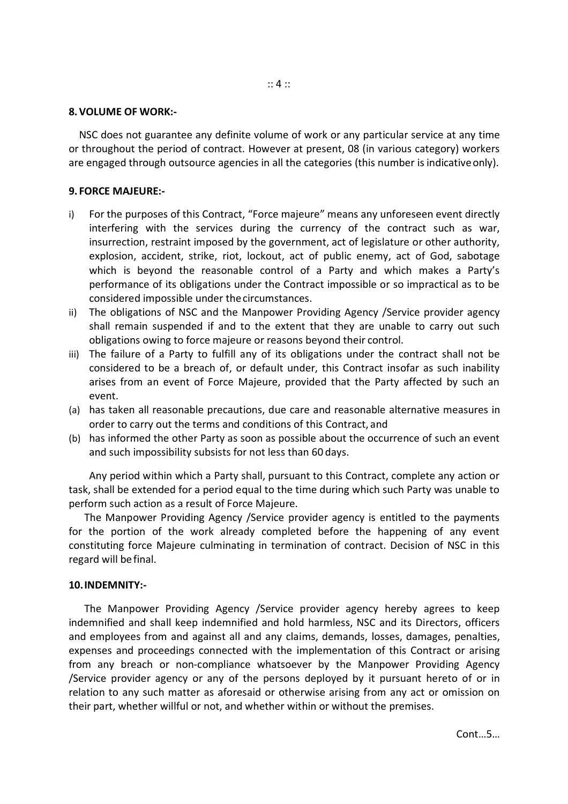#### **8.VOLUME OF WORK:-**

NSC does not guarantee any definite volume of work or any particular service at any time or throughout the period of contract. However at present, 08 (in various category) workers are engaged through outsource agencies in all the categories (this number is indicative only).

## **9. FORCE MAJEURE:-**

- i) For the purposes of this Contract, "Force majeure" means any unforeseen event directly interfering with the services during the currency of the contract such as war, insurrection, restraint imposed by the government, act of legislature or other authority, explosion, accident, strike, riot, lockout, act of public enemy, act of God, sabotage which is beyond the reasonable control of a Party and which makes a Party's performance of its obligations under the Contract impossible or so impractical as to be considered impossible under thecircumstances.
- ii) The obligations of NSC and the Manpower Providing Agency /Service provider agency shall remain suspended if and to the extent that they are unable to carry out such obligations owing to force majeure or reasons beyond their control.
- iii) The failure of a Party to fulfill any of its obligations under the contract shall not be considered to be a breach of, or default under, this Contract insofar as such inability arises from an event of Force Majeure, provided that the Party affected by such an event.
- (a) has taken all reasonable precautions, due care and reasonable alternative measures in order to carry out the terms and conditions of this Contract, and
- (b) has informed the other Party as soon as possible about the occurrence of such an event and such impossibility subsists for not less than 60 days.

Any period within which a Party shall, pursuant to this Contract, complete any action or task, shall be extended for a period equal to the time during which such Party was unable to perform such action as a result of Force Majeure.

The Manpower Providing Agency /Service provider agency is entitled to the payments for the portion of the work already completed before the happening of any event constituting force Majeure culminating in termination of contract. Decision of NSC in this regard will befinal.

## **10.INDEMNITY:-**

The Manpower Providing Agency /Service provider agency hereby agrees to keep indemnified and shall keep indemnified and hold harmless, NSC and its Directors, officers and employees from and against all and any claims, demands, losses, damages, penalties, expenses and proceedings connected with the implementation of this Contract or arising from any breach or non-compliance whatsoever by the Manpower Providing Agency /Service provider agency or any of the persons deployed by it pursuant hereto of or in relation to any such matter as aforesaid or otherwise arising from any act or omission on their part, whether willful or not, and whether within or without the premises.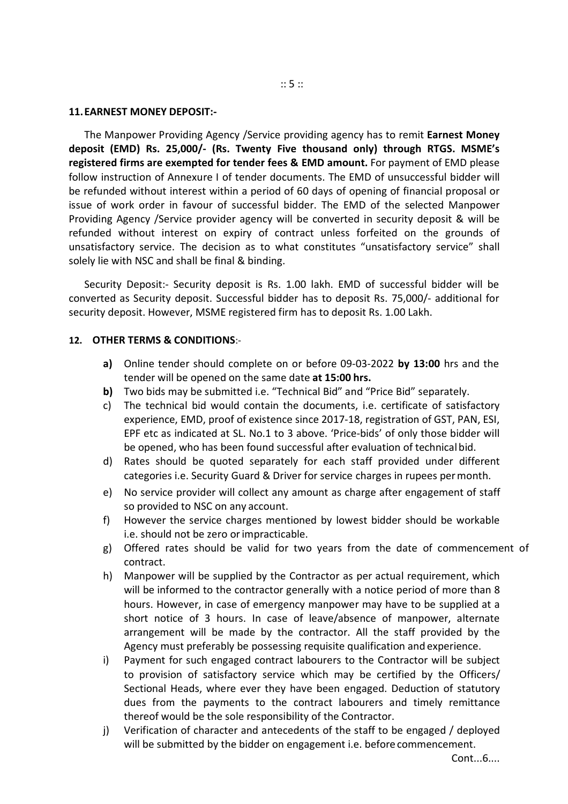#### **11.EARNEST MONEY DEPOSIT:-**

The Manpower Providing Agency /Service providing agency has to remit **Earnest Money deposit (EMD) Rs. 25,000/- (Rs. Twenty Five thousand only) through RTGS. MSME's registered firms are exempted for tender fees & EMD amount.** For payment of EMD please follow instruction of Annexure I of tender documents. The EMD of unsuccessful bidder will be refunded without interest within a period of 60 days of opening of financial proposal or issue of work order in favour of successful bidder. The EMD of the selected Manpower Providing Agency /Service provider agency will be converted in security deposit & will be refunded without interest on expiry of contract unless forfeited on the grounds of unsatisfactory service. The decision as to what constitutes "unsatisfactory service" shall solely lie with NSC and shall be final & binding.

Security Deposit:- Security deposit is Rs. 1.00 lakh. EMD of successful bidder will be converted as Security deposit. Successful bidder has to deposit Rs. 75,000/- additional for security deposit. However, MSME registered firm has to deposit Rs. 1.00 Lakh.

#### **12. OTHER TERMS & CONDITIONS**:-

- **a)** Online tender should complete on or before 09-03-2022 **by 13:00** hrs and the tender will be opened on the same date **at 15:00 hrs.**
- **b)** Two bids may be submitted i.e. "Technical Bid" and "Price Bid" separately.
- c) The technical bid would contain the documents, i.e. certificate of satisfactory experience, EMD, proof of existence since 2017-18, registration of GST, PAN, ESI, EPF etc as indicated at SL. No.1 to 3 above. 'Price-bids' of only those bidder will be opened, who has been found successful after evaluation of technicalbid.
- d) Rates should be quoted separately for each staff provided under different categories i.e. Security Guard & Driver for service charges in rupees permonth.
- e) No service provider will collect any amount as charge after engagement of staff so provided to NSC on any account.
- f) However the service charges mentioned by lowest bidder should be workable i.e. should not be zero orimpracticable.
- g) Offered rates should be valid for two years from the date of commencement of contract.
- h) Manpower will be supplied by the Contractor as per actual requirement, which will be informed to the contractor generally with a notice period of more than 8 hours. However, in case of emergency manpower may have to be supplied at a short notice of 3 hours. In case of leave/absence of manpower, alternate arrangement will be made by the contractor. All the staff provided by the Agency must preferably be possessing requisite qualification and experience.
- i) Payment for such engaged contract labourers to the Contractor will be subject to provision of satisfactory service which may be certified by the Officers/ Sectional Heads, where ever they have been engaged. Deduction of statutory dues from the payments to the contract labourers and timely remittance thereof would be the sole responsibility of the Contractor.
- j) Verification of character and antecedents of the staff to be engaged / deployed will be submitted by the bidder on engagement i.e. before commencement.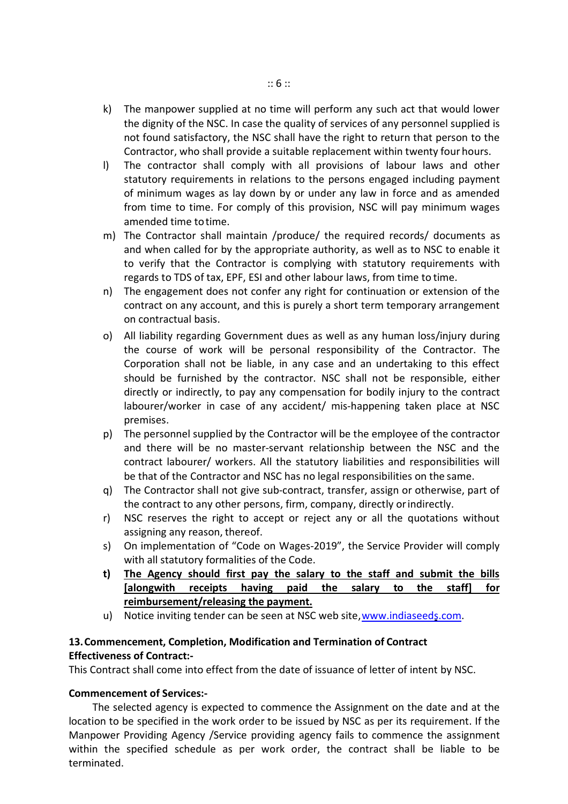- k) The manpower supplied at no time will perform any such act that would lower the dignity of the NSC. In case the quality of services of any personnel supplied is not found satisfactory, the NSC shall have the right to return that person to the Contractor, who shall provide a suitable replacement within twenty four hours.
- l) The contractor shall comply with all provisions of labour laws and other statutory requirements in relations to the persons engaged including payment of minimum wages as lay down by or under any law in force and as amended from time to time. For comply of this provision, NSC will pay minimum wages amended time to time.
- m) The Contractor shall maintain /produce/ the required records/ documents as and when called for by the appropriate authority, as well as to NSC to enable it to verify that the Contractor is complying with statutory requirements with regards to TDS of tax, EPF, ESI and other labour laws, from time to time.
- n) The engagement does not confer any right for continuation or extension of the contract on any account, and this is purely a short term temporary arrangement on contractual basis.
- o) All liability regarding Government dues as well as any human loss/injury during the course of work will be personal responsibility of the Contractor. The Corporation shall not be liable, in any case and an undertaking to this effect should be furnished by the contractor. NSC shall not be responsible, either directly or indirectly, to pay any compensation for bodily injury to the contract labourer/worker in case of any accident/ mis-happening taken place at NSC premises.
- p) The personnel supplied by the Contractor will be the employee of the contractor and there will be no master-servant relationship between the NSC and the contract labourer/ workers. All the statutory liabilities and responsibilities will be that of the Contractor and NSC has no legal responsibilities on the same.
- q) The Contractor shall not give sub-contract, transfer, assign or otherwise, part of the contract to any other persons, firm, company, directly orindirectly.
- r) NSC reserves the right to accept or reject any or all the quotations without assigning any reason, thereof.
- s) On implementation of "Code on Wages-2019", the Service Provider will comply with all statutory formalities of the Code.
- **t) The Agency should first pay the salary to the staff and submit the bills [alongwith receipts having paid the salary to the staff] for reimbursement/releasing the payment.**
- u) Notice inviting tender can be seen at NSC web site,www.indiaseeds.com.

# **13.Commencement, Completion, Modification and Termination of Contract Effectiveness of Contract:-**

This Contract shall come into effect from the date of issuance of letter of intent by NSC.

## **Commencement of Services:-**

The selected agency is expected to commence the Assignment on the date and at the location to be specified in the work order to be issued by NSC as per its requirement. If the Manpower Providing Agency /Service providing agency fails to commence the assignment within the specified schedule as per work order, the contract shall be liable to be terminated.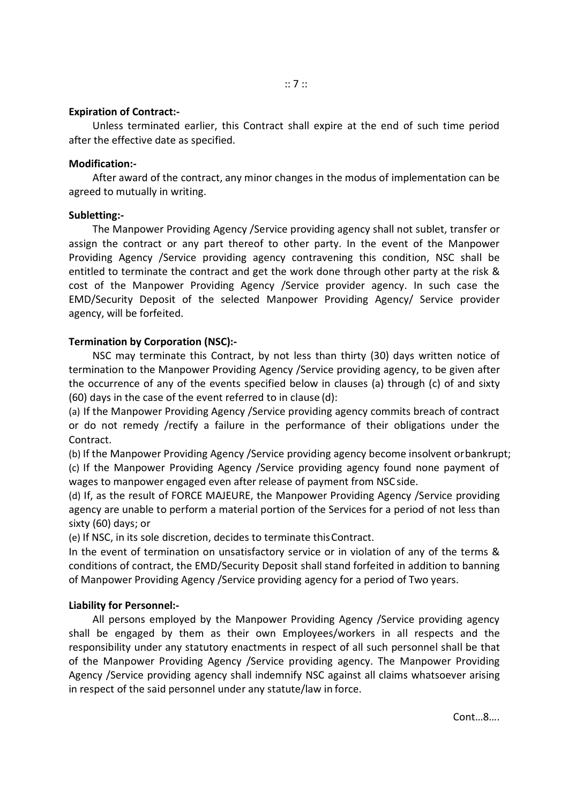#### **Expiration of Contract:-**

Unless terminated earlier, this Contract shall expire at the end of such time period after the effective date as specified.

#### **Modification:-**

After award of the contract, any minor changes in the modus of implementation can be agreed to mutually in writing.

## **Subletting:-**

The Manpower Providing Agency /Service providing agency shall not sublet, transfer or assign the contract or any part thereof to other party. In the event of the Manpower Providing Agency /Service providing agency contravening this condition, NSC shall be entitled to terminate the contract and get the work done through other party at the risk & cost of the Manpower Providing Agency /Service provider agency. In such case the EMD/Security Deposit of the selected Manpower Providing Agency/ Service provider agency, will be forfeited.

## **Termination by Corporation (NSC):-**

NSC may terminate this Contract, by not less than thirty (30) days written notice of termination to the Manpower Providing Agency /Service providing agency, to be given after the occurrence of any of the events specified below in clauses (a) through (c) of and sixty (60) days in the case of the event referred to in clause (d):

(a) If the Manpower Providing Agency /Service providing agency commits breach of contract or do not remedy /rectify a failure in the performance of their obligations under the Contract.

(b) If the Manpower Providing Agency /Service providing agency become insolvent orbankrupt; (c) If the Manpower Providing Agency /Service providing agency found none payment of wages to manpower engaged even after release of payment from NSCside.

(d) If, as the result of FORCE MAJEURE, the Manpower Providing Agency /Service providing agency are unable to perform a material portion of the Services for a period of not less than sixty (60) days; or

(e) If NSC, in its sole discretion, decides to terminate thisContract.

In the event of termination on unsatisfactory service or in violation of any of the terms & conditions of contract, the EMD/Security Deposit shall stand forfeited in addition to banning of Manpower Providing Agency /Service providing agency for a period of Two years.

## **Liability for Personnel:-**

All persons employed by the Manpower Providing Agency /Service providing agency shall be engaged by them as their own Employees/workers in all respects and the responsibility under any statutory enactments in respect of all such personnel shall be that of the Manpower Providing Agency /Service providing agency. The Manpower Providing Agency /Service providing agency shall indemnify NSC against all claims whatsoever arising in respect of the said personnel under any statute/law in force.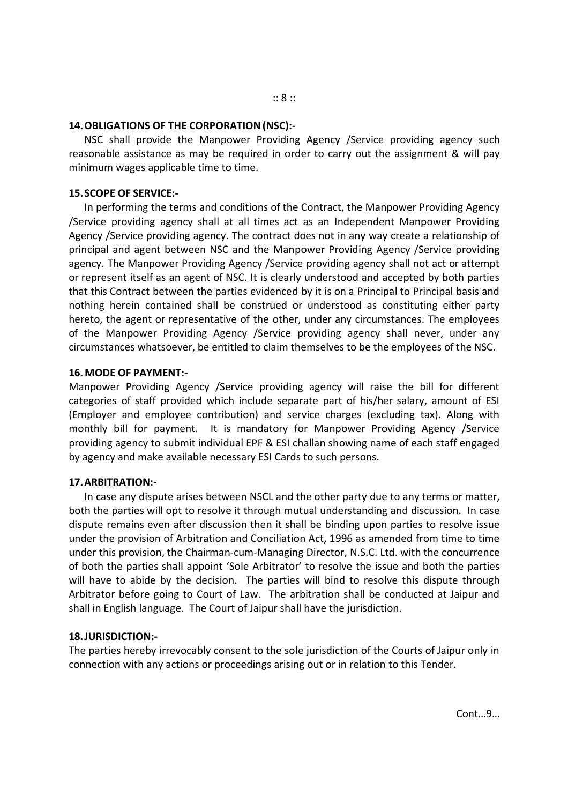#### **14.OBLIGATIONS OF THE CORPORATION(NSC):-**

NSC shall provide the Manpower Providing Agency /Service providing agency such reasonable assistance as may be required in order to carry out the assignment & will pay minimum wages applicable time to time.

#### **15.SCOPE OF SERVICE:-**

In performing the terms and conditions of the Contract, the Manpower Providing Agency /Service providing agency shall at all times act as an Independent Manpower Providing Agency /Service providing agency. The contract does not in any way create a relationship of principal and agent between NSC and the Manpower Providing Agency /Service providing agency. The Manpower Providing Agency /Service providing agency shall not act or attempt or represent itself as an agent of NSC. It is clearly understood and accepted by both parties that this Contract between the parties evidenced by it is on a Principal to Principal basis and nothing herein contained shall be construed or understood as constituting either party hereto, the agent or representative of the other, under any circumstances. The employees of the Manpower Providing Agency /Service providing agency shall never, under any circumstances whatsoever, be entitled to claim themselves to be the employees of the NSC.

#### **16.MODE OF PAYMENT:-**

Manpower Providing Agency /Service providing agency will raise the bill for different categories of staff provided which include separate part of his/her salary, amount of ESI (Employer and employee contribution) and service charges (excluding tax). Along with monthly bill for payment. It is mandatory for Manpower Providing Agency /Service providing agency to submit individual EPF & ESI challan showing name of each staff engaged by agency and make available necessary ESI Cards to such persons.

## **17.ARBITRATION:-**

In case any dispute arises between NSCL and the other party due to any terms or matter, both the parties will opt to resolve it through mutual understanding and discussion. In case dispute remains even after discussion then it shall be binding upon parties to resolve issue under the provision of Arbitration and Conciliation Act, 1996 as amended from time to time under this provision, the Chairman-cum-Managing Director, N.S.C. Ltd. with the concurrence of both the parties shall appoint 'Sole Arbitrator' to resolve the issue and both the parties will have to abide by the decision. The parties will bind to resolve this dispute through Arbitrator before going to Court of Law. The arbitration shall be conducted at Jaipur and shall in English language. The Court of Jaipur shall have the jurisdiction.

## **18.JURISDICTION:-**

The parties hereby irrevocably consent to the sole jurisdiction of the Courts of Jaipur only in connection with any actions or proceedings arising out or in relation to this Tender.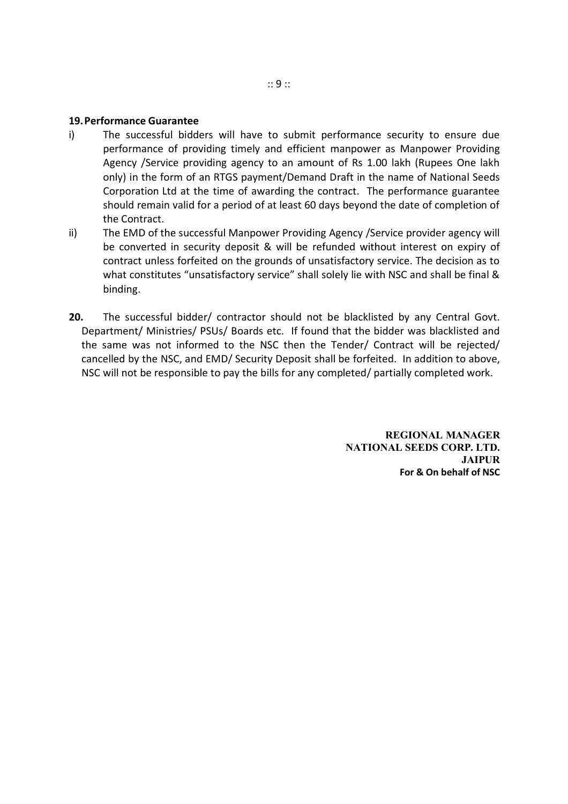#### **19.Performance Guarantee**

- i) The successful bidders will have to submit performance security to ensure due performance of providing timely and efficient manpower as Manpower Providing Agency /Service providing agency to an amount of Rs 1.00 lakh (Rupees One lakh only) in the form of an RTGS payment/Demand Draft in the name of National Seeds Corporation Ltd at the time of awarding the contract. The performance guarantee should remain valid for a period of at least 60 days beyond the date of completion of the Contract.
- ii) The EMD of the successful Manpower Providing Agency /Service provider agency will be converted in security deposit & will be refunded without interest on expiry of contract unless forfeited on the grounds of unsatisfactory service. The decision as to what constitutes "unsatisfactory service" shall solely lie with NSC and shall be final & binding.
- **20.** The successful bidder/ contractor should not be blacklisted by any Central Govt. Department/ Ministries/ PSUs/ Boards etc. If found that the bidder was blacklisted and the same was not informed to the NSC then the Tender/ Contract will be rejected/ cancelled by the NSC, and EMD/ Security Deposit shall be forfeited. In addition to above, NSC will not be responsible to pay the bills for any completed/ partially completed work.

**REGIONAL MANAGER NATIONAL SEEDS CORP. LTD. JAIPUR For & On behalf of NSC**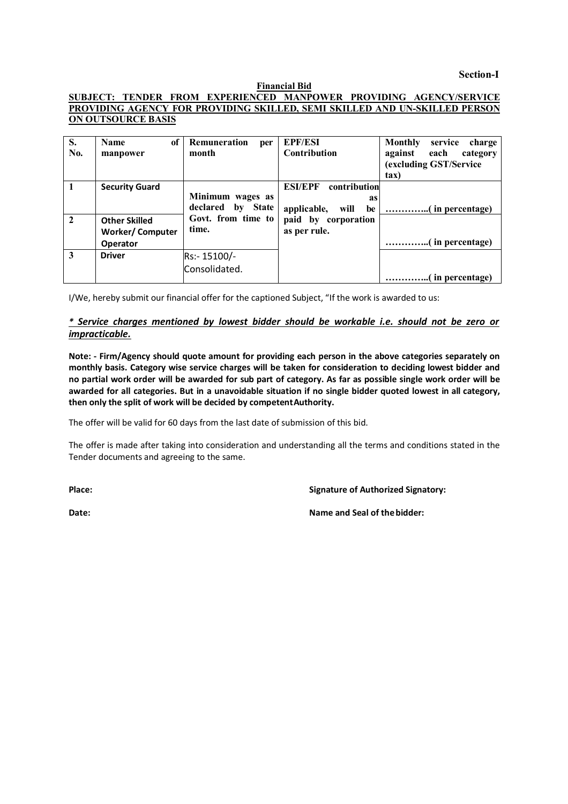**Section-I**

#### **Financial Bid**

#### **SUBJECT: TENDER FROM EXPERIENCED MANPOWER PROVIDING AGENCY/SERVICE PROVIDING AGENCY FOR PROVIDING SKILLED, SEMI SKILLED AND UN-SKILLED PERSON ON OUTSOURCE BASIS**

| S.<br>No.      | <b>Name</b><br>of<br>manpower                                     | Remuneration<br>per<br>month          | <b>EPF/ESI</b><br>Contribution                                    | <b>Monthly</b><br>service<br>charge<br>against<br>each<br>category<br>(excluding GST/Service<br>tax) |
|----------------|-------------------------------------------------------------------|---------------------------------------|-------------------------------------------------------------------|------------------------------------------------------------------------------------------------------|
| $\blacksquare$ | <b>Security Guard</b>                                             | Minimum wages as<br>declared by State | <b>ESI/EPF</b><br>contribution<br>as<br>applicable,<br>will<br>be |                                                                                                      |
| $\overline{2}$ | <b>Other Skilled</b><br><b>Worker/Computer</b><br><b>Operator</b> | Govt. from time to<br>time.           | paid by corporation<br>as per rule.                               |                                                                                                      |
| 3              | <b>Driver</b>                                                     | Rs:-15100/-                           |                                                                   |                                                                                                      |
|                |                                                                   | Consolidated.                         |                                                                   |                                                                                                      |

I/We, hereby submit our financial offer for the captioned Subject, "If the work is awarded to us:

#### *\* Service charges mentioned by lowest bidder should be workable i.e. should not be zero or impracticable.*

**Note: - Firm/Agency should quote amount for providing each person in the above categories separately on monthly basis. Category wise service charges will be taken for consideration to deciding lowest bidder and no partial work order will be awarded for sub part of category. As far as possible single work order will be awarded for all categories. But in a unavoidable situation if no single bidder quoted lowest in all category, then only the split of work will be decided by competentAuthority.**

The offer will be valid for 60 days from the last date of submission of this bid.

The offer is made after taking into consideration and understanding all the terms and conditions stated in the Tender documents and agreeing to the same.

**Place: Signature of Authorized Signatory:**

**Date: Name and Seal of thebidder:**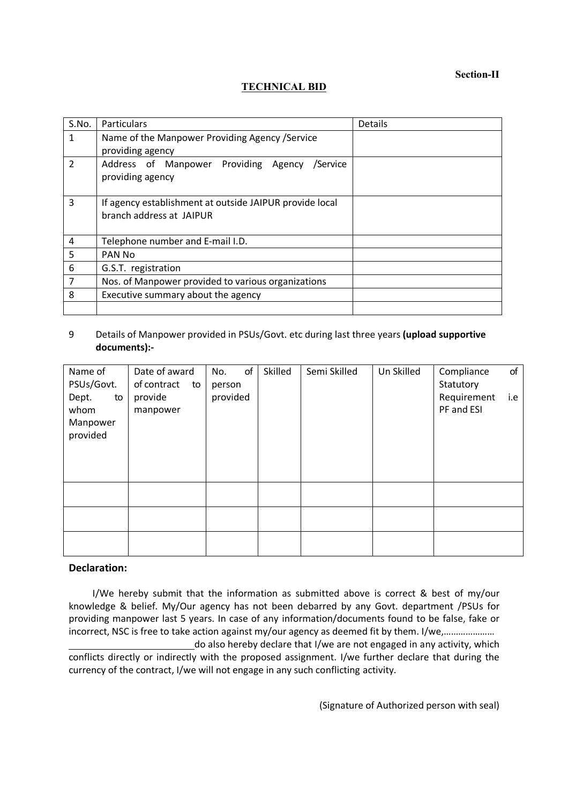**Section-II**

#### **TECHNICAL BID**

| S.No.          | <b>Particulars</b>                                                                  | Details |
|----------------|-------------------------------------------------------------------------------------|---------|
| 1              | Name of the Manpower Providing Agency / Service                                     |         |
|                | providing agency                                                                    |         |
| $\overline{2}$ | Address of Manpower Providing<br>/Service<br>Agency<br>providing agency             |         |
| 3              | If agency establishment at outside JAIPUR provide local<br>branch address at JAIPUR |         |
| 4              | Telephone number and E-mail I.D.                                                    |         |
| 5              | PAN No                                                                              |         |
| 6              | G.S.T. registration                                                                 |         |
| $\overline{7}$ | Nos. of Manpower provided to various organizations                                  |         |
| 8              | Executive summary about the agency                                                  |         |
|                |                                                                                     |         |

#### 9 Details of Manpower provided in PSUs/Govt. etc during last three years **(upload supportive documents):-**

| Name of<br>PSUs/Govt.                       | Date of award<br>of contract<br>to | of<br>No.<br>person | Skilled | Semi Skilled | Un Skilled | Compliance<br>Statutory   | of  |
|---------------------------------------------|------------------------------------|---------------------|---------|--------------|------------|---------------------------|-----|
| Dept.<br>to<br>whom<br>Manpower<br>provided | provide<br>manpower                | provided            |         |              |            | Requirement<br>PF and ESI | i.e |
|                                             |                                    |                     |         |              |            |                           |     |
|                                             |                                    |                     |         |              |            |                           |     |
|                                             |                                    |                     |         |              |            |                           |     |

#### **Declaration:**

I/We hereby submit that the information as submitted above is correct & best of my/our knowledge & belief. My/Our agency has not been debarred by any Govt. department /PSUs for providing manpower last 5 years. In case of any information/documents found to be false, fake or incorrect, NSC is free to take action against my/our agency as deemed fit by them. I/we,..................... do also hereby declare that I/we are not engaged in any activity, which conflicts directly or indirectly with the proposed assignment. I/we further declare that during the

currency of the contract, I/we will not engage in any such conflicting activity.

(Signature of Authorized person with seal)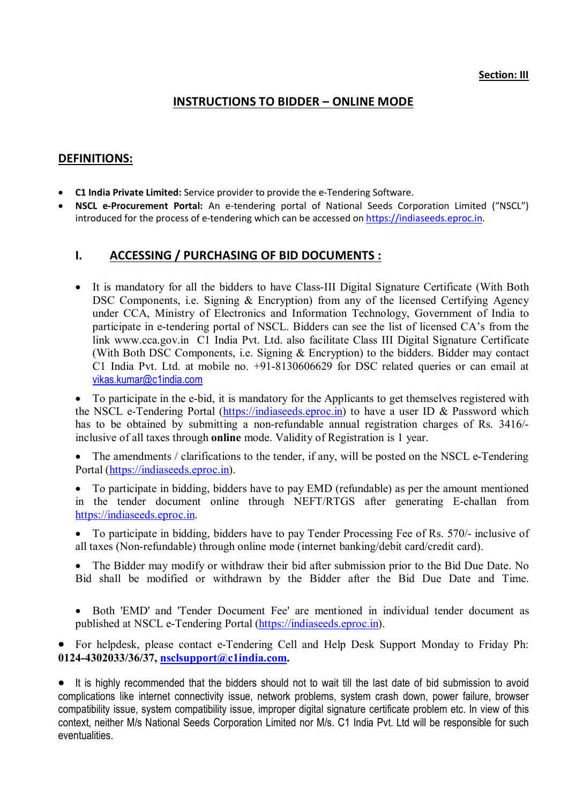## **Section: III**

# **INSTRUCTIONS TO BIDDER – ONLINE MODE**

# **DEFINITIONS:**

- **C1 India Private Limited:** Service provider to provide the e-Tendering Software.
- **NSCL e-Procurement Portal:** An e-tendering portal of National Seeds Corporation Limited ("NSCL") introduced for the process of e-tendering which can be accessed on https://indiaseeds.eproc.in.

# **I. ACCESSING / PURCHASING OF BID DOCUMENTS :**

- It is mandatory for all the bidders to have Class-III Digital Signature Certificate (With Both DSC Components, i.e. Signing & Encryption) from any of the licensed Certifying Agency under CCA, Ministry of Electronics and Information Technology, Government of India to participate in e-tendering portal of NSCL. Bidders can see the list of licensed CA's from the link www.cca.gov.in C1 India Pvt. Ltd. also facilitate Class III Digital Signature Certificate (With Both DSC Components, i.e. Signing & Encryption) to the bidders. Bidder may contact C1 India Pvt. Ltd. at mobile no. +91-8130606629 for DSC related queries or can email at vikas.kumar@c1india.com
- To participate in the e-bid, it is mandatory for the Applicants to get themselves registered with the NSCL e-Tendering Portal (https://indiaseeds.eproc.in) to have a user ID & Password which has to be obtained by submitting a non-refundable annual registration charges of Rs. 3416/ inclusive of all taxes through **online** mode. Validity of Registration is 1 year.

 The amendments / clarifications to the tender, if any, will be posted on the NSCL e-Tendering Portal (https://indiaseeds.eproc.in).

- To participate in bidding, bidders have to pay EMD (refundable) as per the amount mentioned in the tender document online through NEFT/RTGS after generating E-challan from https://indiaseeds.eproc.in.
- To participate in bidding, bidders have to pay Tender Processing Fee of Rs. 570/- inclusive of all taxes (Non-refundable) through online mode (internet banking/debit card/credit card).
- The Bidder may modify or withdraw their bid after submission prior to the Bid Due Date. No Bid shall be modified or withdrawn by the Bidder after the Bid Due Date and Time.
- Both 'EMD' and 'Tender Document Fee' are mentioned in individual tender document as published at NSCL e-Tendering Portal (https://indiaseeds.eproc.in).

 For helpdesk, please contact e-Tendering Cell and Help Desk Support Monday to Friday Ph: **0124-4302033/36/37, nsclsupport@c1india.com.**

 It is highly recommended that the bidders should not to wait till the last date of bid submission to avoid complications like internet connectivity issue, network problems, system crash down, power failure, browser compatibility issue, system compatibility issue, improper digital signature certificate problem etc. In view of this context, neither M/s National Seeds Corporation Limited nor M/s. C1 India Pvt. Ltd will be responsible for such eventualities.